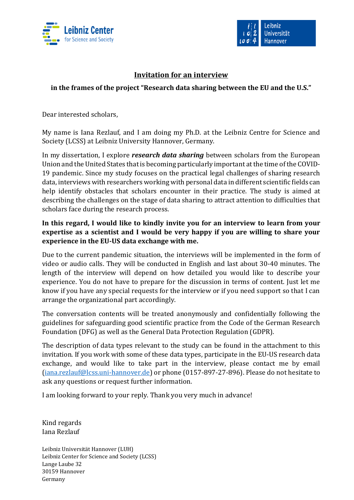



## **Invitation for an interview**

### **in the frames of the project "Research data sharing between the EU and the U.S."**

Dear interested scholars,

My name is Iana Rezlauf, and I am doing my Ph.D. at the Leibniz Centre for Science and Society (LCSS) at Leibniz University Hannover, Germany.

In my dissertation, I explore *research data sharing* between scholars from the European Union and the United States that is becoming particularly important at the time of the COVID-19 pandemic. Since my study focuses on the practical legal challenges of sharing research data, interviews with researchers working with personal data in different scientific fields can help identify obstacles that scholars encounter in their practice. The study is aimed at describing the challenges on the stage of data sharing to attract attention to difficulties that scholars face during the research process.

## **In this regard, I would like to kindly invite you for an interview to learn from your expertise as a scientist and I would be very happy if you are willing to share your experience in the EU-US data exchange with me.**

Due to the current pandemic situation, the interviews will be implemented in the form of video or audio calls. They will be conducted in English and last about 30-40 minutes. The length of the interview will depend on how detailed you would like to describe your experience. You do not have to prepare for the discussion in terms of content. Just let me know if you have any special requests for the interview or if you need support so that I can arrange the organizational part accordingly.

The conversation contents will be treated anonymously and confidentially following the guidelines for safeguarding good scientific practice from the Code of the German Research Foundation (DFG) as well as the General Data Protection Regulation (GDPR).

The description of data types relevant to the study can be found in the attachment to this invitation. If you work with some of these data types, participate in the EU-US research data exchange, and would like to take part in the interview, please contact me by email [\(iana.rezlauf@lcss.uni-hannover.de\)](mailto:iana.rezlauf@lcss.uni-hannover.de) or phone (0157-897-27-896). Please do not hesitate to ask any questions or request further information.

I am looking forward to your reply. Thank you very much in advance!

Kind regards Iana Rezlauf

Leibniz Universität Hannover (LUH) Leibniz Center for Science and Society (LCSS) Lange Laube 32 30159 Hannover Germany